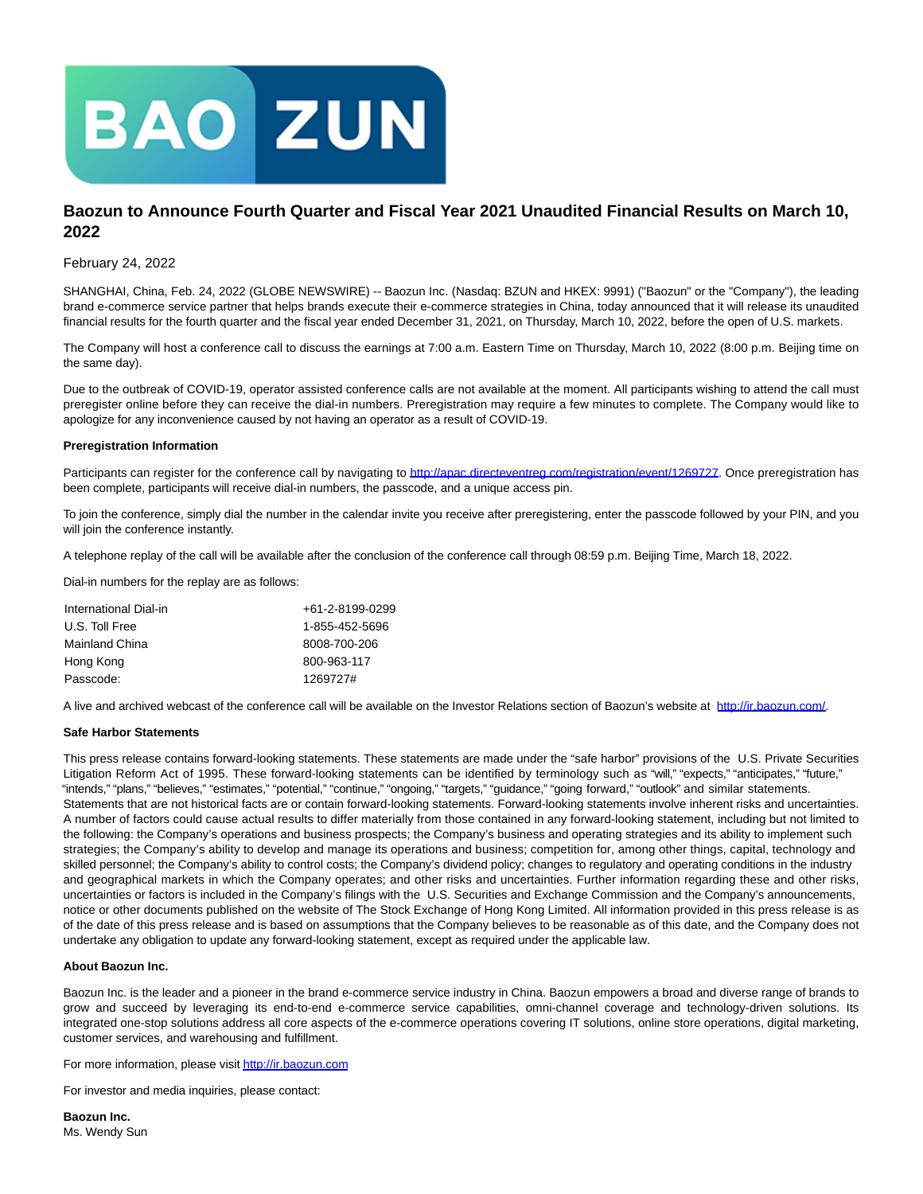

# **Baozun to Announce Fourth Quarter and Fiscal Year 2021 Unaudited Financial Results on March 10, 2022**

## February 24, 2022

SHANGHAI, China, Feb. 24, 2022 (GLOBE NEWSWIRE) -- Baozun Inc. (Nasdaq: BZUN and HKEX: 9991) ("Baozun" or the "Company"), the leading brand e-commerce service partner that helps brands execute their e-commerce strategies in China, today announced that it will release its unaudited financial results for the fourth quarter and the fiscal year ended December 31, 2021, on Thursday, March 10, 2022, before the open of U.S. markets.

The Company will host a conference call to discuss the earnings at 7:00 a.m. Eastern Time on Thursday, March 10, 2022 (8:00 p.m. Beijing time on the same day).

Due to the outbreak of COVID-19, operator assisted conference calls are not available at the moment. All participants wishing to attend the call must preregister online before they can receive the dial-in numbers. Preregistration may require a few minutes to complete. The Company would like to apologize for any inconvenience caused by not having an operator as a result of COVID-19.

#### **Preregistration Information**

Participants can register for the conference call by navigating to [http://apac.directeventreg.com/registration/event/1269727.](https://www.globenewswire.com/Tracker?data=EshiO7f9TJhT7PMzBydclyBnlPRoM8kiEcan96T1Q-OJopdY5EN8A0qS9Bxvbx4cPV2OZuK3WfaHd5CxsVKhNpes8C8f4sgqzRn9CQkfgL8McC9zfn9ibMnO6KscoCCD_ny3l7YC1ffMjBlDsEf3otewJhI66qg7lse6hqwnBgeXyYw1H0RZ7Jgl-R2axlnS) Once preregistration has been complete, participants will receive dial-in numbers, the passcode, and a unique access pin.

To join the conference, simply dial the number in the calendar invite you receive after preregistering, enter the passcode followed by your PIN, and you will join the conference instantly.

A telephone replay of the call will be available after the conclusion of the conference call through 08:59 p.m. Beijing Time, March 18, 2022.

Dial-in numbers for the replay are as follows:

| International Dial-in | +61-2-8199-0299 |
|-----------------------|-----------------|
| U.S. Toll Free        | 1-855-452-5696  |
| Mainland China        | 8008-700-206    |
| Hong Kong             | 800-963-117     |
| Passcode:             | 1269727#        |

A live and archived webcast of the conference call will be available on the Investor Relations section of Baozun's website at [http://ir.baozun.com/.](https://www.globenewswire.com/Tracker?data=EshiO7f9TJhT7PMzBydcl_pNVhtFscIpBGjZ4aK_1S6fh6BfMfYao7uUm6oD7F-5PX16mZXBzTbaIESPduXnOw==)

#### **Safe Harbor Statements**

This press release contains forward-looking statements. These statements are made under the "safe harbor" provisions of the U.S. Private Securities Litigation Reform Act of 1995. These forward-looking statements can be identified by terminology such as "will," "expects," "anticipates," "future," "intends," "plans," "believes," "estimates," "potential," "continue," "ongoing," "targets," "guidance," "going forward," "outlook" and similar statements. Statements that are not historical facts are or contain forward-looking statements. Forward-looking statements involve inherent risks and uncertainties. A number of factors could cause actual results to differ materially from those contained in any forward-looking statement, including but not limited to the following: the Company's operations and business prospects; the Company's business and operating strategies and its ability to implement such strategies; the Company's ability to develop and manage its operations and business; competition for, among other things, capital, technology and skilled personnel; the Company's ability to control costs; the Company's dividend policy; changes to regulatory and operating conditions in the industry and geographical markets in which the Company operates; and other risks and uncertainties. Further information regarding these and other risks, uncertainties or factors is included in the Company's filings with the U.S. Securities and Exchange Commission and the Company's announcements, notice or other documents published on the website of The Stock Exchange of Hong Kong Limited. All information provided in this press release is as of the date of this press release and is based on assumptions that the Company believes to be reasonable as of this date, and the Company does not undertake any obligation to update any forward-looking statement, except as required under the applicable law.

### **About Baozun Inc.**

Baozun Inc. is the leader and a pioneer in the brand e-commerce service industry in China. Baozun empowers a broad and diverse range of brands to grow and succeed by leveraging its end-to-end e-commerce service capabilities, omni-channel coverage and technology-driven solutions. Its integrated one-stop solutions address all core aspects of the e-commerce operations covering IT solutions, online store operations, digital marketing, customer services, and warehousing and fulfillment.

For more information, please visi[t http://ir.baozun.com](https://www.globenewswire.com/Tracker?data=EshiO7f9TJhT7PMzBydcl7iILAMipPlXsz1IdGuej5lw6wPsU7PMMmxSiLHrCgIpsQt_4W6dfBjqco6XrWkwlw==)

For investor and media inquiries, please contact:

**Baozun Inc.** Ms. Wendy Sun